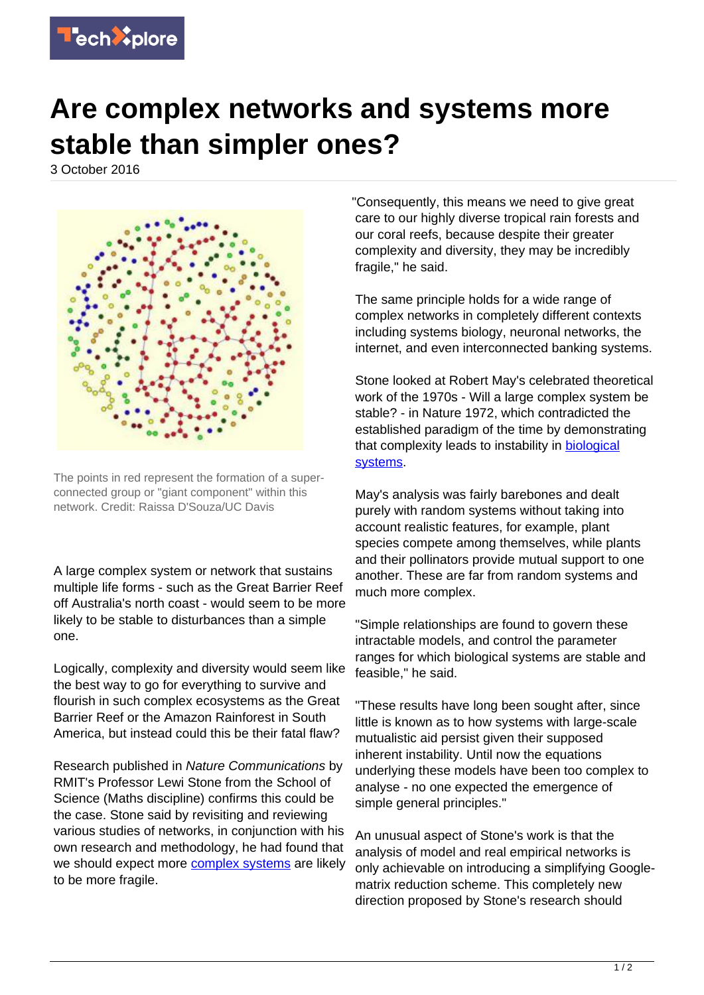

## **Are complex networks and systems more stable than simpler ones?**

3 October 2016



The points in red represent the formation of a superconnected group or "giant component" within this network. Credit: Raissa D'Souza/UC Davis

A large complex system or network that sustains multiple life forms - such as the Great Barrier Reef off Australia's north coast - would seem to be more likely to be stable to disturbances than a simple one.

Logically, complexity and diversity would seem like the best way to go for everything to survive and flourish in such complex ecosystems as the Great Barrier Reef or the Amazon Rainforest in South America, but instead could this be their fatal flaw?

Research published in Nature Communications by RMIT's Professor Lewi Stone from the School of Science (Maths discipline) confirms this could be the case. Stone said by revisiting and reviewing various studies of networks, in conjunction with his own research and methodology, he had found that we should expect more [complex systems](https://techxplore.com/tags/complex+systems/) are likely to be more fragile.

"Consequently, this means we need to give great care to our highly diverse tropical rain forests and our coral reefs, because despite their greater complexity and diversity, they may be incredibly fragile," he said.

The same principle holds for a wide range of complex networks in completely different contexts including systems biology, neuronal networks, the internet, and even interconnected banking systems.

Stone looked at Robert May's celebrated theoretical work of the 1970s - Will a large complex system be stable? - in Nature 1972, which contradicted the established paradigm of the time by demonstrating that complexity leads to instability in **biological** [systems.](https://techxplore.com/tags/biological+systems/)

May's analysis was fairly barebones and dealt purely with random systems without taking into account realistic features, for example, plant species compete among themselves, while plants and their pollinators provide mutual support to one another. These are far from random systems and much more complex.

"Simple relationships are found to govern these intractable models, and control the parameter ranges for which biological systems are stable and feasible," he said.

"These results have long been sought after, since little is known as to how systems with large-scale mutualistic aid persist given their supposed inherent instability. Until now the equations underlying these models have been too complex to analyse - no one expected the emergence of simple general principles."

An unusual aspect of Stone's work is that the analysis of model and real empirical networks is only achievable on introducing a simplifying Googlematrix reduction scheme. This completely new direction proposed by Stone's research should